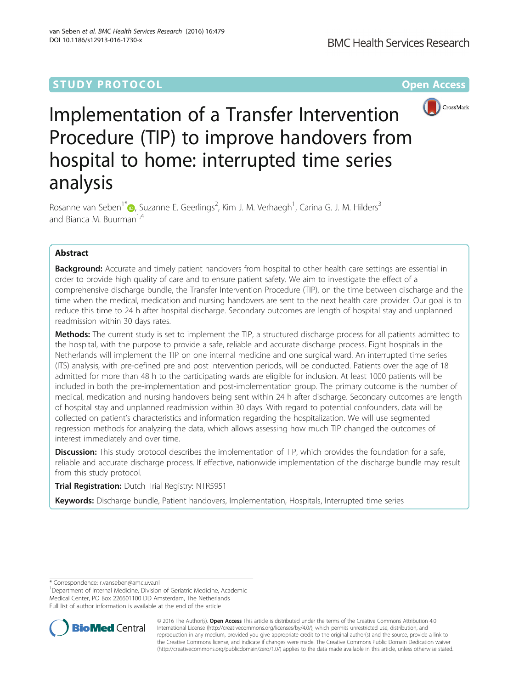# **STUDY PROTOCOL CONSUMING THE RESERVE ACCESS**



# Implementation of a Transfer Intervention Procedure (TIP) to improve handovers from hospital to home: interrupted time series analysis

Rosanne van Seben<sup>1\*</sup>®[,](http://orcid.org/0000-0001-8791-3387) Suzanne E. Geerlings<sup>2</sup>, Kim J. M. Verhaegh<sup>1</sup>, Carina G. J. M. Hilders<sup>3</sup> and Bianca M. Buurman<sup>1,4</sup>

# Abstract

**Background:** Accurate and timely patient handovers from hospital to other health care settings are essential in order to provide high quality of care and to ensure patient safety. We aim to investigate the effect of a comprehensive discharge bundle, the Transfer Intervention Procedure (TIP), on the time between discharge and the time when the medical, medication and nursing handovers are sent to the next health care provider. Our goal is to reduce this time to 24 h after hospital discharge. Secondary outcomes are length of hospital stay and unplanned readmission within 30 days rates.

Methods: The current study is set to implement the TIP, a structured discharge process for all patients admitted to the hospital, with the purpose to provide a safe, reliable and accurate discharge process. Eight hospitals in the Netherlands will implement the TIP on one internal medicine and one surgical ward. An interrupted time series (ITS) analysis, with pre-defined pre and post intervention periods, will be conducted. Patients over the age of 18 admitted for more than 48 h to the participating wards are eligible for inclusion. At least 1000 patients will be included in both the pre-implementation and post-implementation group. The primary outcome is the number of medical, medication and nursing handovers being sent within 24 h after discharge. Secondary outcomes are length of hospital stay and unplanned readmission within 30 days. With regard to potential confounders, data will be collected on patient's characteristics and information regarding the hospitalization. We will use segmented regression methods for analyzing the data, which allows assessing how much TIP changed the outcomes of interest immediately and over time.

Discussion: This study protocol describes the implementation of TIP, which provides the foundation for a safe, reliable and accurate discharge process. If effective, nationwide implementation of the discharge bundle may result from this study protocol.

**Trial Registration: Dutch Trial Registry: [NTR5951](http://www.trialregister.nl/trialreg/admin/rctview.asp?TC=5951)** 

Keywords: Discharge bundle, Patient handovers, Implementation, Hospitals, Interrupted time series

<sup>1</sup>Department of Internal Medicine, Division of Geriatric Medicine, Academic Medical Center, PO Box 226601100 DD Amsterdam, The Netherlands Full list of author information is available at the end of the article



© 2016 The Author(s). Open Access This article is distributed under the terms of the Creative Commons Attribution 4.0 International License [\(http://creativecommons.org/licenses/by/4.0/](http://creativecommons.org/licenses/by/4.0/)), which permits unrestricted use, distribution, and reproduction in any medium, provided you give appropriate credit to the original author(s) and the source, provide a link to the Creative Commons license, and indicate if changes were made. The Creative Commons Public Domain Dedication waiver [\(http://creativecommons.org/publicdomain/zero/1.0/](http://creativecommons.org/publicdomain/zero/1.0/)) applies to the data made available in this article, unless otherwise stated.

<sup>\*</sup> Correspondence: [r.vanseben@amc.uva.nl](mailto:r.vanseben@amc.uva.nl) <sup>1</sup>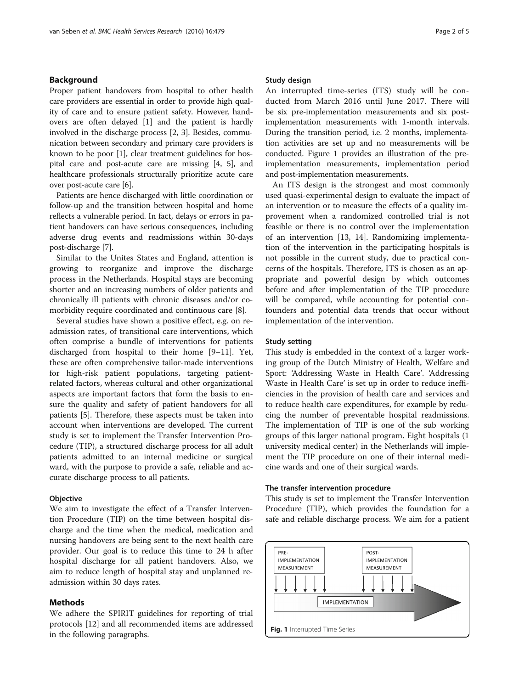# Background

Proper patient handovers from hospital to other health care providers are essential in order to provide high quality of care and to ensure patient safety. However, handovers are often delayed [[1\]](#page-4-0) and the patient is hardly involved in the discharge process [[2, 3\]](#page-4-0). Besides, communication between secondary and primary care providers is known to be poor [[1](#page-4-0)], clear treatment guidelines for hospital care and post-acute care are missing [[4, 5](#page-4-0)], and healthcare professionals structurally prioritize acute care over post-acute care [\[6\]](#page-4-0).

Patients are hence discharged with little coordination or follow-up and the transition between hospital and home reflects a vulnerable period. In fact, delays or errors in patient handovers can have serious consequences, including adverse drug events and readmissions within 30-days post-discharge [\[7](#page-4-0)].

Similar to the Unites States and England, attention is growing to reorganize and improve the discharge process in the Netherlands. Hospital stays are becoming shorter and an increasing numbers of older patients and chronically ill patients with chronic diseases and/or comorbidity require coordinated and continuous care [\[8\]](#page-4-0).

Several studies have shown a positive effect, e.g. on readmission rates, of transitional care interventions, which often comprise a bundle of interventions for patients discharged from hospital to their home [[9](#page-4-0)–[11](#page-4-0)]. Yet, these are often comprehensive tailor-made interventions for high-risk patient populations, targeting patientrelated factors, whereas cultural and other organizational aspects are important factors that form the basis to ensure the quality and safety of patient handovers for all patients [\[5](#page-4-0)]. Therefore, these aspects must be taken into account when interventions are developed. The current study is set to implement the Transfer Intervention Procedure (TIP), a structured discharge process for all adult patients admitted to an internal medicine or surgical ward, with the purpose to provide a safe, reliable and accurate discharge process to all patients.

# **Objective**

We aim to investigate the effect of a Transfer Intervention Procedure (TIP) on the time between hospital discharge and the time when the medical, medication and nursing handovers are being sent to the next health care provider. Our goal is to reduce this time to 24 h after hospital discharge for all patient handovers. Also, we aim to reduce length of hospital stay and unplanned readmission within 30 days rates.

# Methods

We adhere the SPIRIT guidelines for reporting of trial protocols [\[12\]](#page-4-0) and all recommended items are addressed in the following paragraphs.

## Study design

An interrupted time-series (ITS) study will be conducted from March 2016 until June 2017. There will be six pre-implementation measurements and six postimplementation measurements with 1-month intervals. During the transition period, i.e. 2 months, implementation activities are set up and no measurements will be conducted. Figure 1 provides an illustration of the preimplementation measurements, implementation period and post-implementation measurements.

An ITS design is the strongest and most commonly used quasi-experimental design to evaluate the impact of an intervention or to measure the effects of a quality improvement when a randomized controlled trial is not feasible or there is no control over the implementation of an intervention [[13](#page-4-0), [14](#page-4-0)]. Randomizing implementation of the intervention in the participating hospitals is not possible in the current study, due to practical concerns of the hospitals. Therefore, ITS is chosen as an appropriate and powerful design by which outcomes before and after implementation of the TIP procedure will be compared, while accounting for potential confounders and potential data trends that occur without implementation of the intervention.

# Study setting

This study is embedded in the context of a larger working group of the Dutch Ministry of Health, Welfare and Sport: 'Addressing Waste in Health Care'. 'Addressing Waste in Health Care' is set up in order to reduce inefficiencies in the provision of health care and services and to reduce health care expenditures, for example by reducing the number of preventable hospital readmissions. The implementation of TIP is one of the sub working groups of this larger national program. Eight hospitals (1 university medical center) in the Netherlands will implement the TIP procedure on one of their internal medicine wards and one of their surgical wards.

# The transfer intervention procedure

This study is set to implement the Transfer Intervention Procedure (TIP), which provides the foundation for a safe and reliable discharge process. We aim for a patient

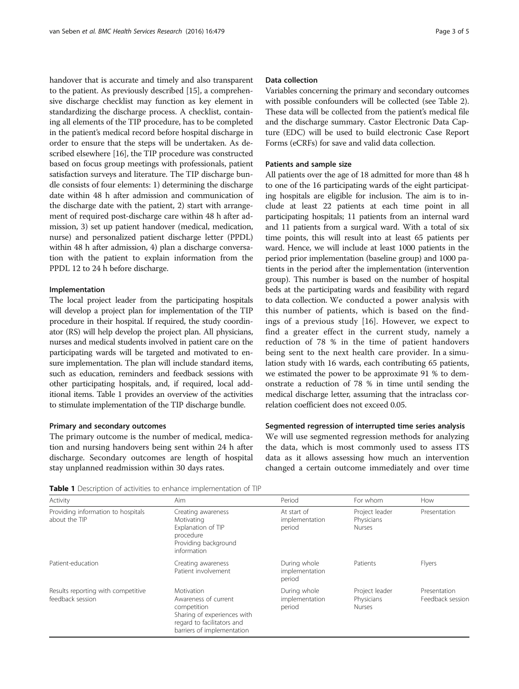handover that is accurate and timely and also transparent to the patient. As previously described [[15](#page-4-0)], a comprehensive discharge checklist may function as key element in standardizing the discharge process. A checklist, containing all elements of the TIP procedure, has to be completed in the patient's medical record before hospital discharge in order to ensure that the steps will be undertaken. As described elsewhere [[16](#page-4-0)], the TIP procedure was constructed based on focus group meetings with professionals, patient satisfaction surveys and literature. The TIP discharge bundle consists of four elements: 1) determining the discharge date within 48 h after admission and communication of the discharge date with the patient, 2) start with arrangement of required post-discharge care within 48 h after admission, 3) set up patient handover (medical, medication, nurse) and personalized patient discharge letter (PPDL) within 48 h after admission, 4) plan a discharge conversation with the patient to explain information from the PPDL 12 to 24 h before discharge.

# Implementation

The local project leader from the participating hospitals will develop a project plan for implementation of the TIP procedure in their hospital. If required, the study coordinator (RS) will help develop the project plan. All physicians, nurses and medical students involved in patient care on the participating wards will be targeted and motivated to ensure implementation. The plan will include standard items, such as education, reminders and feedback sessions with other participating hospitals, and, if required, local additional items. Table 1 provides an overview of the activities to stimulate implementation of the TIP discharge bundle.

## Primary and secondary outcomes

The primary outcome is the number of medical, medication and nursing handovers being sent within 24 h after discharge. Secondary outcomes are length of hospital stay unplanned readmission within 30 days rates.

# Data collection

Variables concerning the primary and secondary outcomes with possible confounders will be collected (see Table [2](#page-3-0)). These data will be collected from the patient's medical file and the discharge summary. Castor Electronic Data Capture (EDC) will be used to build electronic Case Report Forms (eCRFs) for save and valid data collection.

## Patients and sample size

All patients over the age of 18 admitted for more than 48 h to one of the 16 participating wards of the eight participating hospitals are eligible for inclusion. The aim is to include at least 22 patients at each time point in all participating hospitals; 11 patients from an internal ward and 11 patients from a surgical ward. With a total of six time points, this will result into at least 65 patients per ward. Hence, we will include at least 1000 patients in the period prior implementation (baseline group) and 1000 patients in the period after the implementation (intervention group). This number is based on the number of hospital beds at the participating wards and feasibility with regard to data collection. We conducted a power analysis with this number of patients, which is based on the findings of a previous study [[16\]](#page-4-0). However, we expect to find a greater effect in the current study, namely a reduction of 78 % in the time of patient handovers being sent to the next health care provider. In a simulation study with 16 wards, each contributing 65 patients, we estimated the power to be approximate 91 % to demonstrate a reduction of 78 % in time until sending the medical discharge letter, assuming that the intraclass correlation coefficient does not exceed 0.05.

# Segmented regression of interrupted time series analysis

We will use segmented regression methods for analyzing the data, which is most commonly used to assess ITS data as it allows assessing how much an intervention changed a certain outcome immediately and over time

Table 1 Description of activities to enhance implementation of TIP

| Activity                                               | Aim                                                                                                                                          | Period                                   | For whom                                      | How                              |
|--------------------------------------------------------|----------------------------------------------------------------------------------------------------------------------------------------------|------------------------------------------|-----------------------------------------------|----------------------------------|
| Providing information to hospitals<br>about the TIP    | Creating awareness<br>Motivating<br>Explanation of TIP<br>procedure<br>Providing background<br>information                                   | At start of<br>implementation<br>period  | Project leader<br>Physicians<br><b>Nurses</b> | Presentation                     |
| Patient-education                                      | Creating awareness<br>Patient involvement                                                                                                    | During whole<br>implementation<br>period | Patients                                      | Flyers                           |
| Results reporting with competitive<br>feedback session | Motivation<br>Awareness of current<br>competition<br>Sharing of experiences with<br>regard to facilitators and<br>barriers of implementation | During whole<br>implementation<br>period | Project leader<br>Physicians<br><b>Nurses</b> | Presentation<br>Feedback session |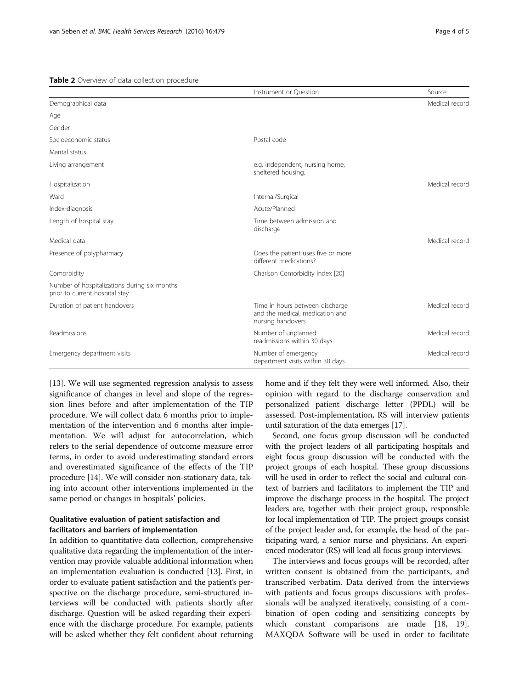<span id="page-3-0"></span>

|                                                                                | Instrument or Question                                                                  | Source         |
|--------------------------------------------------------------------------------|-----------------------------------------------------------------------------------------|----------------|
| Demographical data                                                             |                                                                                         | Medical record |
| Age                                                                            |                                                                                         |                |
| Gender                                                                         |                                                                                         |                |
| Socioeconomic status                                                           | Postal code                                                                             |                |
| Marital status                                                                 |                                                                                         |                |
| Living arrangement                                                             | e.g. independent, nursing home,<br>sheltered housing.                                   |                |
| Hospitalization                                                                |                                                                                         | Medical record |
| Ward                                                                           | Internal/Surgical                                                                       |                |
| Index-diagnosis                                                                | Acute/Planned                                                                           |                |
| Length of hospital stay                                                        | Time between admission and<br>discharge                                                 |                |
| Medical data                                                                   |                                                                                         | Medical record |
| Presence of polypharmacy                                                       | Does the patient uses five or more<br>different medications?                            |                |
| Comorbidity                                                                    | Charlson Comorbidity Index [20]                                                         |                |
| Number of hospitalizations during six months<br>prior to current hospital stay |                                                                                         |                |
| Duration of patient handovers                                                  | Time in hours between discharge<br>and the medical, medication and<br>nursing handovers | Medical record |
| Readmissions                                                                   | Number of unplanned<br>readmissions within 30 days                                      | Medical record |
| Emergency department visits                                                    | Number of emergency<br>department visits within 30 days                                 | Medical record |

[[13\]](#page-4-0). We will use segmented regression analysis to assess significance of changes in level and slope of the regression lines before and after implementation of the TIP procedure. We will collect data 6 months prior to implementation of the intervention and 6 months after implementation. We will adjust for autocorrelation, which refers to the serial dependence of outcome measure error terms, in order to avoid underestimating standard errors and overestimated significance of the effects of the TIP procedure [\[14\]](#page-4-0). We will consider non-stationary data, taking into account other interventions implemented in the same period or changes in hospitals' policies.

# Qualitative evaluation of patient satisfaction and facilitators and barriers of implementation

In addition to quantitative data collection, comprehensive qualitative data regarding the implementation of the intervention may provide valuable additional information when an implementation evaluation is conducted [\[13](#page-4-0)]. First, in order to evaluate patient satisfaction and the patient's perspective on the discharge procedure, semi-structured interviews will be conducted with patients shortly after discharge. Question will be asked regarding their experience with the discharge procedure. For example, patients will be asked whether they felt confident about returning home and if they felt they were well informed. Also, their opinion with regard to the discharge conservation and personalized patient discharge letter (PPDL) will be assessed. Post-implementation, RS will interview patients until saturation of the data emerges [\[17](#page-4-0)].

Second, one focus group discussion will be conducted with the project leaders of all participating hospitals and eight focus group discussion will be conducted with the project groups of each hospital. These group discussions will be used in order to reflect the social and cultural context of barriers and facilitators to implement the TIP and improve the discharge process in the hospital. The project leaders are, together with their project group, responsible for local implementation of TIP. The project groups consist of the project leader and, for example, the head of the participating ward, a senior nurse and physicians. An experienced moderator (RS) will lead all focus group interviews.

The interviews and focus groups will be recorded, after written consent is obtained from the participants, and transcribed verbatim. Data derived from the interviews with patients and focus groups discussions with professionals will be analyzed iteratively, consisting of a combination of open coding and sensitizing concepts by which constant comparisons are made [[18, 19](#page-4-0)]. MAXQDA Software will be used in order to facilitate